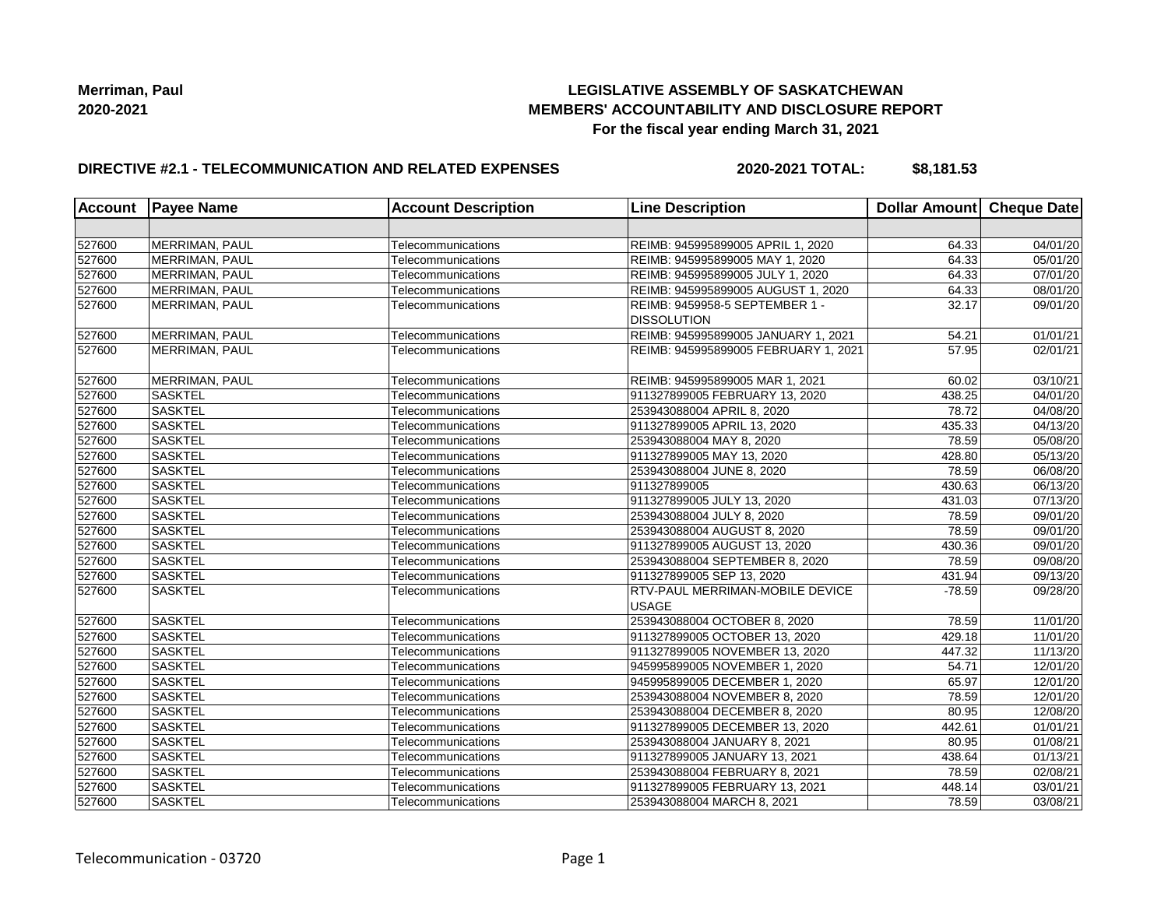# **LEGISLATIVE ASSEMBLY OF SASKATCHEWAN MEMBERS' ACCOUNTABILITY AND DISCLOSURE REPORT For the fiscal year ending March 31, 2021**

# **DIRECTIVE #2.1 - TELECOMMUNICATION AND RELATED EXPENSES**

**2020-2021 TOTAL: \$8,181.53**

| <b>Account</b> | <b>Payee Name</b> | <b>Account Description</b> | <b>Line Description</b>                              | Dollar Amount   Cheque Date |                       |
|----------------|-------------------|----------------------------|------------------------------------------------------|-----------------------------|-----------------------|
|                |                   |                            |                                                      |                             |                       |
| 527600         | MERRIMAN, PAUL    | Telecommunications         | REIMB: 945995899005 APRIL 1, 2020                    | 64.33                       | $\frac{1}{04}{01/20}$ |
| 527600         | MERRIMAN, PAUL    | Telecommunications         | REIMB: 945995899005 MAY 1, 2020                      | 64.33                       | 05/01/20              |
| 527600         | MERRIMAN, PAUL    | Telecommunications         | REIMB: 945995899005 JULY 1, 2020                     | 64.33                       | 07/01/20              |
| 527600         | MERRIMAN, PAUL    | Telecommunications         | REIMB: 945995899005 AUGUST 1, 2020                   | 64.33                       | 08/01/20              |
| 527600         | MERRIMAN, PAUL    | Telecommunications         | REIMB: 9459958-5 SEPTEMBER 1 -<br><b>DISSOLUTION</b> | 32.17                       | 09/01/20              |
| 527600         | MERRIMAN, PAUL    | Telecommunications         | REIMB: 945995899005 JANUARY 1, 2021                  | 54.21                       | 01/01/21              |
| 527600         | MERRIMAN, PAUL    | Telecommunications         | REIMB: 945995899005 FEBRUARY 1, 2021                 | 57.95                       | 02/01/21              |
| 527600         | MERRIMAN, PAUL    | Telecommunications         | REIMB: 945995899005 MAR 1, 2021                      | 60.02                       | 03/10/21              |
| 527600         | <b>SASKTEL</b>    | Telecommunications         | 911327899005 FEBRUARY 13, 2020                       | 438.25                      | 04/01/20              |
| 527600         | <b>SASKTEL</b>    | Telecommunications         | 253943088004 APRIL 8, 2020                           | 78.72                       | 04/08/20              |
| 527600         | <b>SASKTEL</b>    | Telecommunications         | 911327899005 APRIL 13, 2020                          | 435.33                      | 04/13/20              |
| 527600         | <b>SASKTEL</b>    | Telecommunications         | 253943088004 MAY 8, 2020                             | 78.59                       | 05/08/20              |
| 527600         | <b>SASKTEL</b>    | Telecommunications         | 911327899005 MAY 13, 2020                            | 428.80                      | 05/13/20              |
| 527600         | <b>SASKTEL</b>    | Telecommunications         | 253943088004 JUNE 8, 2020                            | 78.59                       | 06/08/20              |
| 527600         | <b>SASKTEL</b>    | Telecommunications         | 911327899005                                         | 430.63                      | 06/13/20              |
| 527600         | <b>SASKTEL</b>    | Telecommunications         | 911327899005 JULY 13, 2020                           | 431.03                      | 07/13/20              |
| 527600         | <b>SASKTEL</b>    | Telecommunications         | 253943088004 JULY 8, 2020                            | 78.59                       | 09/01/20              |
| 527600         | <b>SASKTEL</b>    | Telecommunications         | 253943088004 AUGUST 8, 2020                          | 78.59                       | 09/01/20              |
| 527600         | <b>SASKTEL</b>    | Telecommunications         | 911327899005 AUGUST 13, 2020                         | 430.36                      | 09/01/20              |
| 527600         | <b>SASKTEL</b>    | Telecommunications         | 253943088004 SEPTEMBER 8, 2020                       | 78.59                       | 09/08/20              |
| 527600         | <b>SASKTEL</b>    | Telecommunications         | 911327899005 SEP 13, 2020                            | 431.94                      | 09/13/20              |
| 527600         | <b>SASKTEL</b>    | Telecommunications         | RTV-PAUL MERRIMAN-MOBILE DEVICE<br><b>USAGE</b>      | $-78.59$                    | 09/28/20              |
| 527600         | <b>SASKTEL</b>    | Telecommunications         | 253943088004 OCTOBER 8, 2020                         | 78.59                       | 11/01/20              |
| 527600         | <b>SASKTEL</b>    | Telecommunications         | 911327899005 OCTOBER 13, 2020                        | 429.18                      | 11/01/20              |
| 527600         | <b>SASKTEL</b>    | Telecommunications         | 911327899005 NOVEMBER 13, 2020                       | 447.32                      | 11/13/20              |
| 527600         | <b>SASKTEL</b>    | Telecommunications         | 945995899005 NOVEMBER 1, 2020                        | 54.71                       | 12/01/20              |
| 527600         | <b>SASKTEL</b>    | Telecommunications         | 945995899005 DECEMBER 1, 2020                        | 65.97                       | 12/01/20              |
| 527600         | <b>SASKTEL</b>    | Telecommunications         | 253943088004 NOVEMBER 8, 2020                        | 78.59                       | 12/01/20              |
| 527600         | <b>SASKTEL</b>    | Telecommunications         | 253943088004 DECEMBER 8, 2020                        | 80.95                       | 12/08/20              |
| 527600         | <b>SASKTEL</b>    | Telecommunications         | 911327899005 DECEMBER 13, 2020                       | 442.61                      | 01/01/21              |
| 527600         | <b>SASKTEL</b>    | Telecommunications         | 253943088004 JANUARY 8, 2021                         | 80.95                       | 01/08/21              |
| 527600         | <b>SASKTEL</b>    | Telecommunications         | 911327899005 JANUARY 13, 2021                        | 438.64                      | 01/13/21              |
| 527600         | <b>SASKTEL</b>    | Telecommunications         | 253943088004 FEBRUARY 8, 2021                        | 78.59                       | 02/08/21              |
| 527600         | <b>SASKTEL</b>    | Telecommunications         | 911327899005 FEBRUARY 13, 2021                       | 448.14                      | 03/01/21              |
| 527600         | <b>SASKTEL</b>    | Telecommunications         | 253943088004 MARCH 8, 2021                           | 78.59                       | 03/08/21              |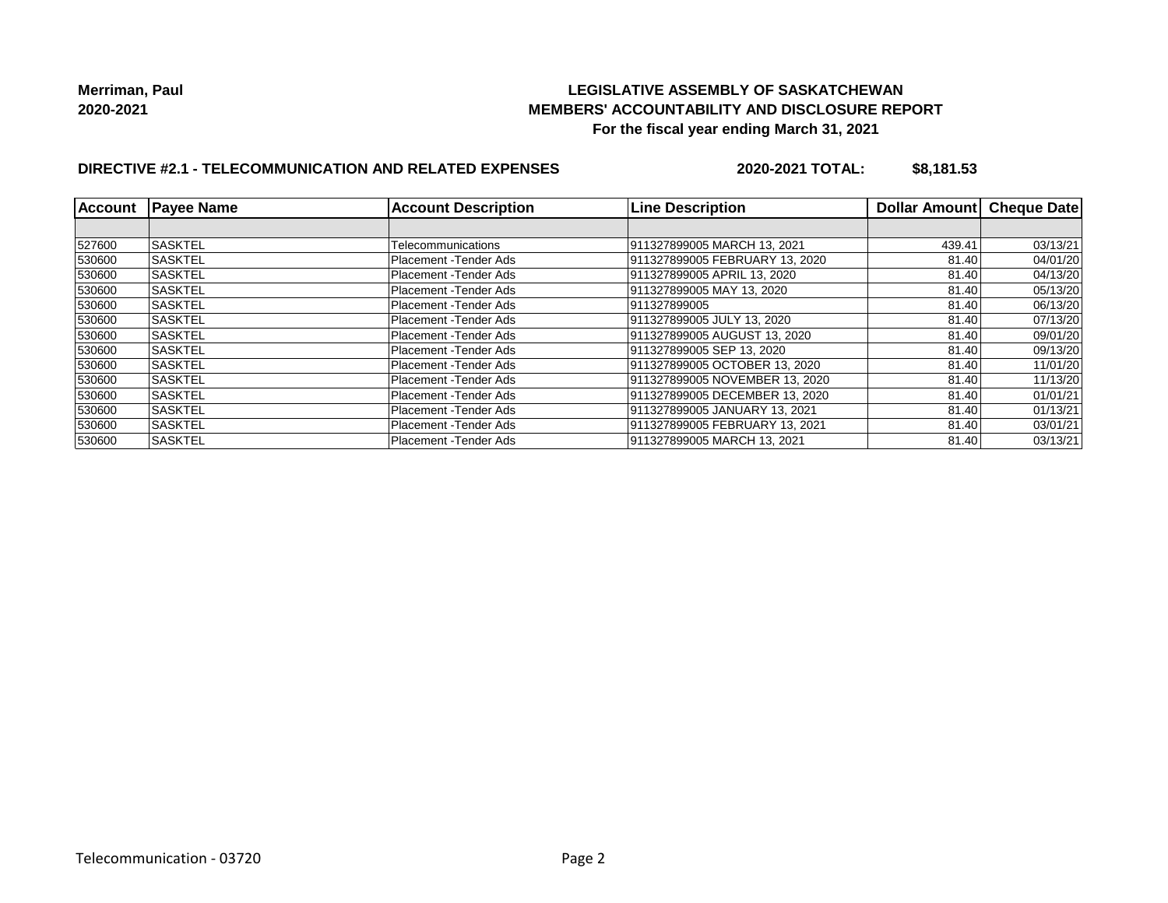# **LEGISLATIVE ASSEMBLY OF SASKATCHEWAN MEMBERS' ACCOUNTABILITY AND DISCLOSURE REPORT For the fiscal year ending March 31, 2021**

# **DIRECTIVE #2.1 - TELECOMMUNICATION AND RELATED EXPENSES**

**2020-2021 TOTAL: \$8,181.53**

| Account | <b>Payee Name</b> | <b>Account Description</b> | <b>Line Description</b>        | Dollar Amount Cheque Date |          |
|---------|-------------------|----------------------------|--------------------------------|---------------------------|----------|
|         |                   |                            |                                |                           |          |
| 527600  | <b>SASKTEL</b>    | Telecommunications         | 911327899005 MARCH 13, 2021    | 439.41                    | 03/13/21 |
| 530600  | <b>SASKTEL</b>    | Placement -Tender Ads      | 911327899005 FEBRUARY 13, 2020 | 81.40                     | 04/01/20 |
| 530600  | <b>SASKTEL</b>    | Placement - Tender Ads     | 911327899005 APRIL 13, 2020    | 81.40                     | 04/13/20 |
| 530600  | <b>SASKTEL</b>    | Placement - Tender Ads     | 911327899005 MAY 13, 2020      | 81.40                     | 05/13/20 |
| 530600  | <b>SASKTEL</b>    | Placement - Tender Ads     | 911327899005                   | 81.40                     | 06/13/20 |
| 530600  | <b>SASKTEL</b>    | Placement - Tender Ads     | 911327899005 JULY 13, 2020     | 81.40                     | 07/13/20 |
| 530600  | ISASKTEL          | Placement - Tender Ads     | 911327899005 AUGUST 13, 2020   | 81.40                     | 09/01/20 |
| 530600  | <b>SASKTEL</b>    | Placement - Tender Ads     | 911327899005 SEP 13, 2020      | 81.40                     | 09/13/20 |
| 530600  | <b>SASKTEL</b>    | Placement - Tender Ads     | 911327899005 OCTOBER 13, 2020  | 81.40                     | 11/01/20 |
| 530600  | <b>SASKTEL</b>    | Placement - Tender Ads     | 911327899005 NOVEMBER 13, 2020 | 81.40                     | 11/13/20 |
| 530600  | <b>SASKTEL</b>    | Placement - Tender Ads     | 911327899005 DECEMBER 13, 2020 | 81.40                     | 01/01/21 |
| 530600  | <b>SASKTEL</b>    | Placement - Tender Ads     | 911327899005 JANUARY 13, 2021  | 81.40                     | 01/13/21 |
| 530600  | <b>SASKTEL</b>    | Placement - Tender Ads     | 911327899005 FEBRUARY 13, 2021 | 81.40                     | 03/01/21 |
| 530600  | <b>SASKTEL</b>    | Placement -Tender Ads      | 911327899005 MARCH 13, 2021    | 81.40                     | 03/13/21 |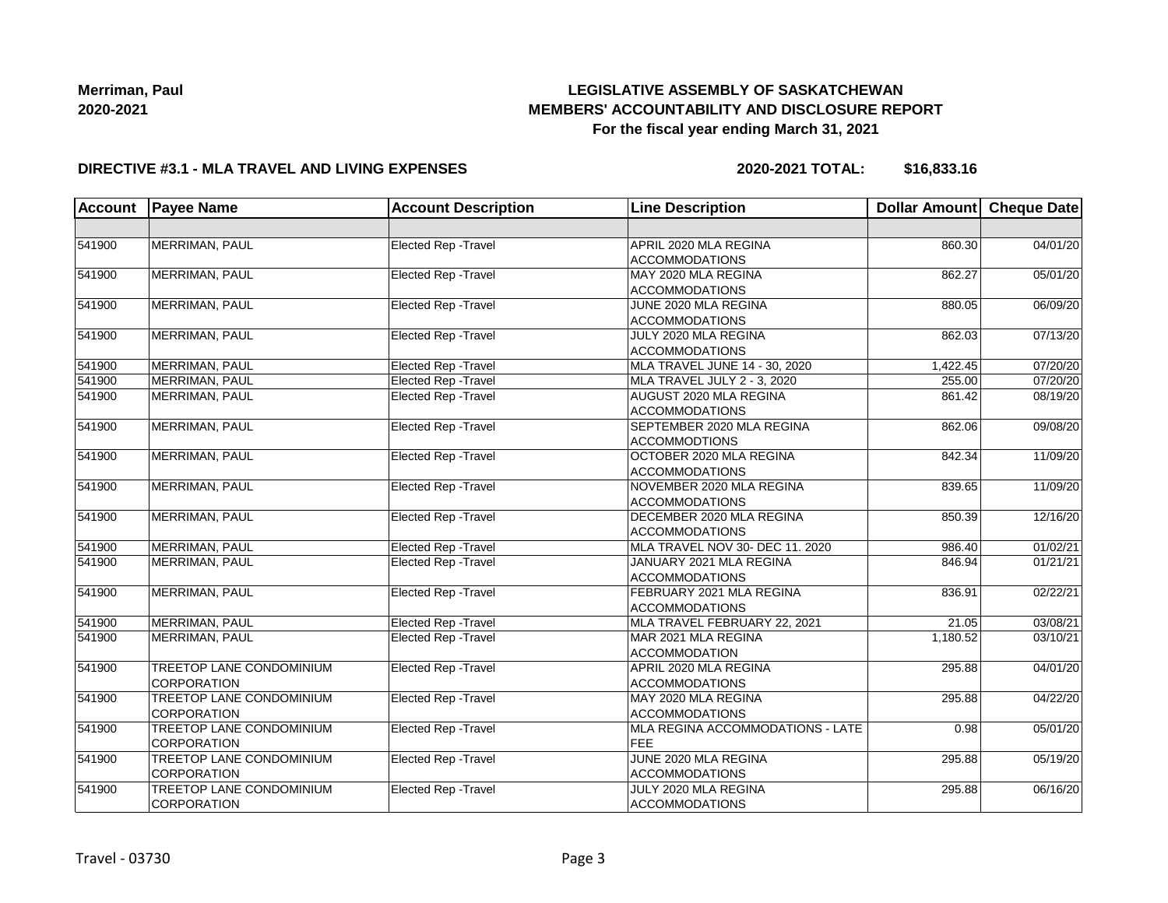# **LEGISLATIVE ASSEMBLY OF SASKATCHEWAN MEMBERS' ACCOUNTABILITY AND DISCLOSURE REPORT For the fiscal year ending March 31, 2021**

### **DIRECTIVE #3.1 - MLA TRAVEL AND LIVING EXPENSES**

**2020-2021 TOTAL: \$16,833.16**

| <b>Account</b> | <b>Payee Name</b>               | <b>Account Description</b> | <b>Line Description</b>          | Dollar Amount Cheque Date |          |
|----------------|---------------------------------|----------------------------|----------------------------------|---------------------------|----------|
|                |                                 |                            |                                  |                           |          |
| 541900         | MERRIMAN, PAUL                  | Elected Rep - Travel       | APRIL 2020 MLA REGINA            | 860.30                    | 04/01/20 |
|                |                                 |                            | <b>ACCOMMODATIONS</b>            |                           |          |
| 541900         | MERRIMAN, PAUL                  | Elected Rep - Travel       | MAY 2020 MLA REGINA              | 862.27                    | 05/01/20 |
|                |                                 |                            | <b>ACCOMMODATIONS</b>            |                           |          |
| 541900         | MERRIMAN, PAUL                  | Elected Rep - Travel       | JUNE 2020 MLA REGINA             | 880.05                    | 06/09/20 |
|                |                                 |                            | <b>ACCOMMODATIONS</b>            |                           |          |
| 541900         | MERRIMAN, PAUL                  | Elected Rep - Travel       | JULY 2020 MLA REGINA             | 862.03                    | 07/13/20 |
|                |                                 |                            | <b>ACCOMMODATIONS</b>            |                           |          |
| 541900         | MERRIMAN, PAUL                  | Elected Rep - Travel       | MLA TRAVEL JUNE 14 - 30, 2020    | 1,422.45                  | 07/20/20 |
| 541900         | MERRIMAN, PAUL                  | Elected Rep - Travel       | MLA TRAVEL JULY 2 - 3, 2020      | 255.00                    | 07/20/20 |
| 541900         | MERRIMAN, PAUL                  | Elected Rep - Travel       | AUGUST 2020 MLA REGINA           | 861.42                    | 08/19/20 |
|                |                                 |                            | <b>ACCOMMODATIONS</b>            |                           |          |
| 541900         | MERRIMAN, PAUL                  | Elected Rep - Travel       | SEPTEMBER 2020 MLA REGINA        | 862.06                    | 09/08/20 |
|                |                                 |                            | <b>ACCOMMODTIONS</b>             |                           |          |
| 541900         | MERRIMAN, PAUL                  | Elected Rep - Travel       | OCTOBER 2020 MLA REGINA          | 842.34                    | 11/09/20 |
|                |                                 |                            | <b>ACCOMMODATIONS</b>            |                           |          |
| 541900         | <b>MERRIMAN, PAUL</b>           | Elected Rep - Travel       | NOVEMBER 2020 MLA REGINA         | 839.65                    | 11/09/20 |
|                |                                 |                            | <b>ACCOMMODATIONS</b>            |                           |          |
| 541900         | MERRIMAN, PAUL                  | Elected Rep - Travel       | DECEMBER 2020 MLA REGINA         | 850.39                    | 12/16/20 |
|                |                                 |                            | <b>ACCOMMODATIONS</b>            |                           |          |
| 541900         | MERRIMAN, PAUL                  | Elected Rep - Travel       | MLA TRAVEL NOV 30- DEC 11. 2020  | 986.40                    | 01/02/21 |
| 541900         | MERRIMAN, PAUL                  | Elected Rep - Travel       | JANUARY 2021 MLA REGINA          | 846.94                    | 01/21/21 |
|                |                                 |                            | <b>ACCOMMODATIONS</b>            |                           |          |
| 541900         | MERRIMAN, PAUL                  | Elected Rep - Travel       | FEBRUARY 2021 MLA REGINA         | 836.91                    | 02/22/21 |
|                |                                 |                            | <b>ACCOMMODATIONS</b>            |                           |          |
| 541900         | MERRIMAN, PAUL                  | Elected Rep - Travel       | MLA TRAVEL FEBRUARY 22, 2021     | 21.05                     | 03/08/21 |
| 541900         | MERRIMAN, PAUL                  | Elected Rep - Travel       | MAR 2021 MLA REGINA              | 1,180.52                  | 03/10/21 |
|                |                                 |                            | <b>ACCOMMODATION</b>             |                           |          |
| 541900         | TREETOP LANE CONDOMINIUM        | Elected Rep - Travel       | APRIL 2020 MLA REGINA            | 295.88                    | 04/01/20 |
|                | <b>CORPORATION</b>              |                            | <b>ACCOMMODATIONS</b>            |                           |          |
| 541900         | TREETOP LANE CONDOMINIUM        | Elected Rep - Travel       | MAY 2020 MLA REGINA              | 295.88                    | 04/22/20 |
|                | <b>CORPORATION</b>              |                            | <b>ACCOMMODATIONS</b>            |                           |          |
| 541900         | <b>TREETOP LANE CONDOMINIUM</b> | Elected Rep - Travel       | MLA REGINA ACCOMMODATIONS - LATE | 0.98                      | 05/01/20 |
|                | <b>CORPORATION</b>              |                            | <b>FEE</b>                       |                           |          |
| 541900         | TREETOP LANE CONDOMINIUM        | Elected Rep - Travel       | JUNE 2020 MLA REGINA             | 295.88                    | 05/19/20 |
|                | <b>CORPORATION</b>              |                            | <b>ACCOMMODATIONS</b>            |                           |          |
| 541900         | TREETOP LANE CONDOMINIUM        | Elected Rep - Travel       | JULY 2020 MLA REGINA             | 295.88                    | 06/16/20 |
|                | CORPORATION                     |                            | <b>ACCOMMODATIONS</b>            |                           |          |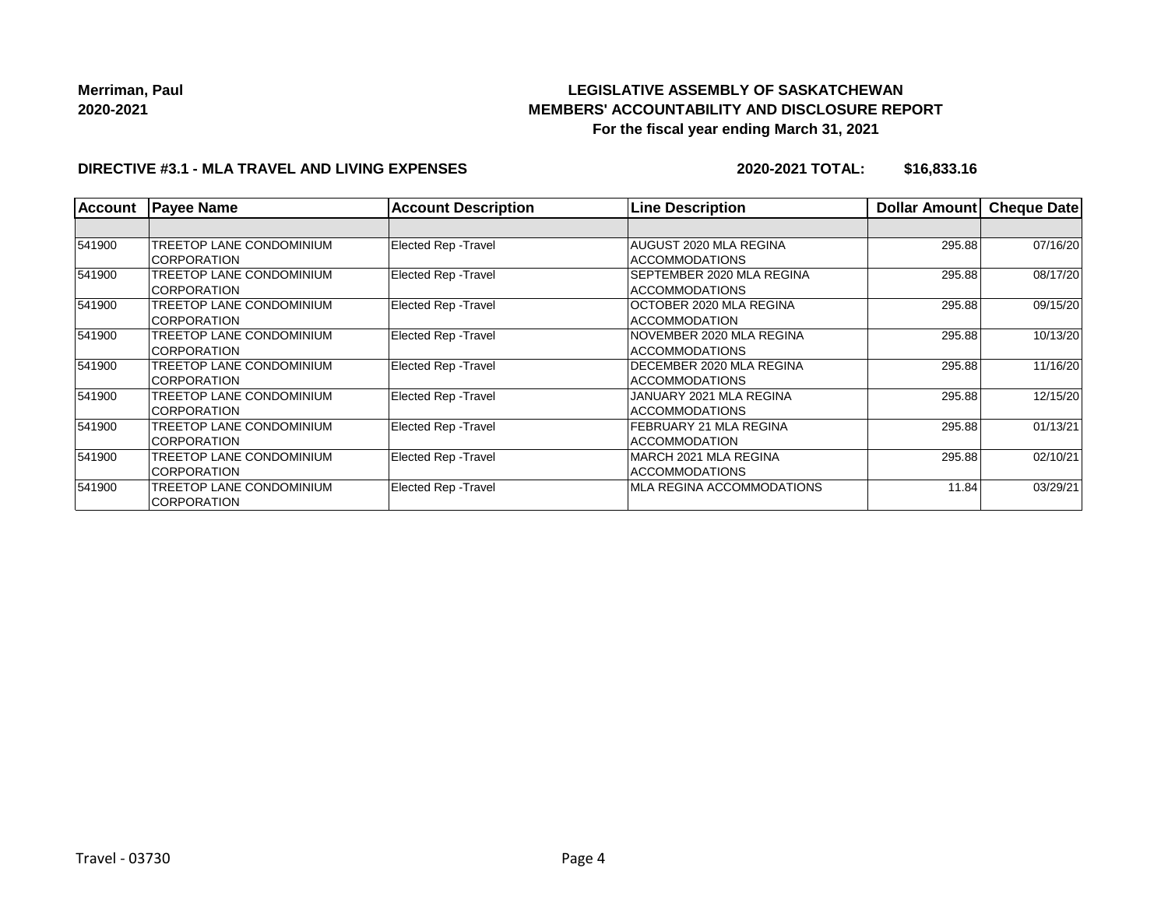# **LEGISLATIVE ASSEMBLY OF SASKATCHEWAN MEMBERS' ACCOUNTABILITY AND DISCLOSURE REPORT For the fiscal year ending March 31, 2021**

### **DIRECTIVE #3.1 - MLA TRAVEL AND LIVING EXPENSES**

**2020-2021 TOTAL: \$16,833.16**

| <b>Account</b> | <b>Payee Name</b>                               | <b>Account Description</b>  | <b>Line Description</b>                            | <b>Dollar Amount</b> | <b>Cheque Date</b> |
|----------------|-------------------------------------------------|-----------------------------|----------------------------------------------------|----------------------|--------------------|
|                |                                                 |                             |                                                    |                      |                    |
| 541900         | TREETOP LANE CONDOMINIUM<br><b>ICORPORATION</b> | <b>Elected Rep - Travel</b> | AUGUST 2020 MLA REGINA<br> ACCOMMODATIONS          | 295.88               | 07/16/20           |
| 541900         | TREETOP LANE CONDOMINIUM<br><b>CORPORATION</b>  | Elected Rep - Travel        | SEPTEMBER 2020 MLA REGINA<br><b>ACCOMMODATIONS</b> | 295.88               | 08/17/20           |
| 541900         | TREETOP LANE CONDOMINIUM<br><b>CORPORATION</b>  | <b>Elected Rep - Travel</b> | OCTOBER 2020 MLA REGINA<br><b>ACCOMMODATION</b>    | 295.88               | 09/15/20           |
| 541900         | TREETOP LANE CONDOMINIUM<br><b>CORPORATION</b>  | Elected Rep - Travel        | NOVEMBER 2020 MLA REGINA<br><b>ACCOMMODATIONS</b>  | 295.88               | 10/13/20           |
| 541900         | TREETOP LANE CONDOMINIUM<br><b>CORPORATION</b>  | <b>Elected Rep - Travel</b> | DECEMBER 2020 MLA REGINA<br><b>ACCOMMODATIONS</b>  | 295.88               | 11/16/20           |
| 541900         | TREETOP LANE CONDOMINIUM<br><b>CORPORATION</b>  | <b>Elected Rep - Travel</b> | JANUARY 2021 MLA REGINA<br><b>ACCOMMODATIONS</b>   | 295.88               | 12/15/20           |
| 541900         | TREETOP LANE CONDOMINIUM<br><b>ICORPORATION</b> | Elected Rep - Travel        | FEBRUARY 21 MLA REGINA<br><b>ACCOMMODATION</b>     | 295.88               | 01/13/21           |
| 541900         | TREETOP LANE CONDOMINIUM<br><b>ICORPORATION</b> | Elected Rep - Travel        | MARCH 2021 MLA REGINA<br> ACCOMMODATIONS           | 295.88               | 02/10/21           |
| 541900         | TREETOP LANE CONDOMINIUM<br><b>CORPORATION</b>  | <b>Elected Rep - Travel</b> | MLA REGINA ACCOMMODATIONS                          | 11.84                | 03/29/21           |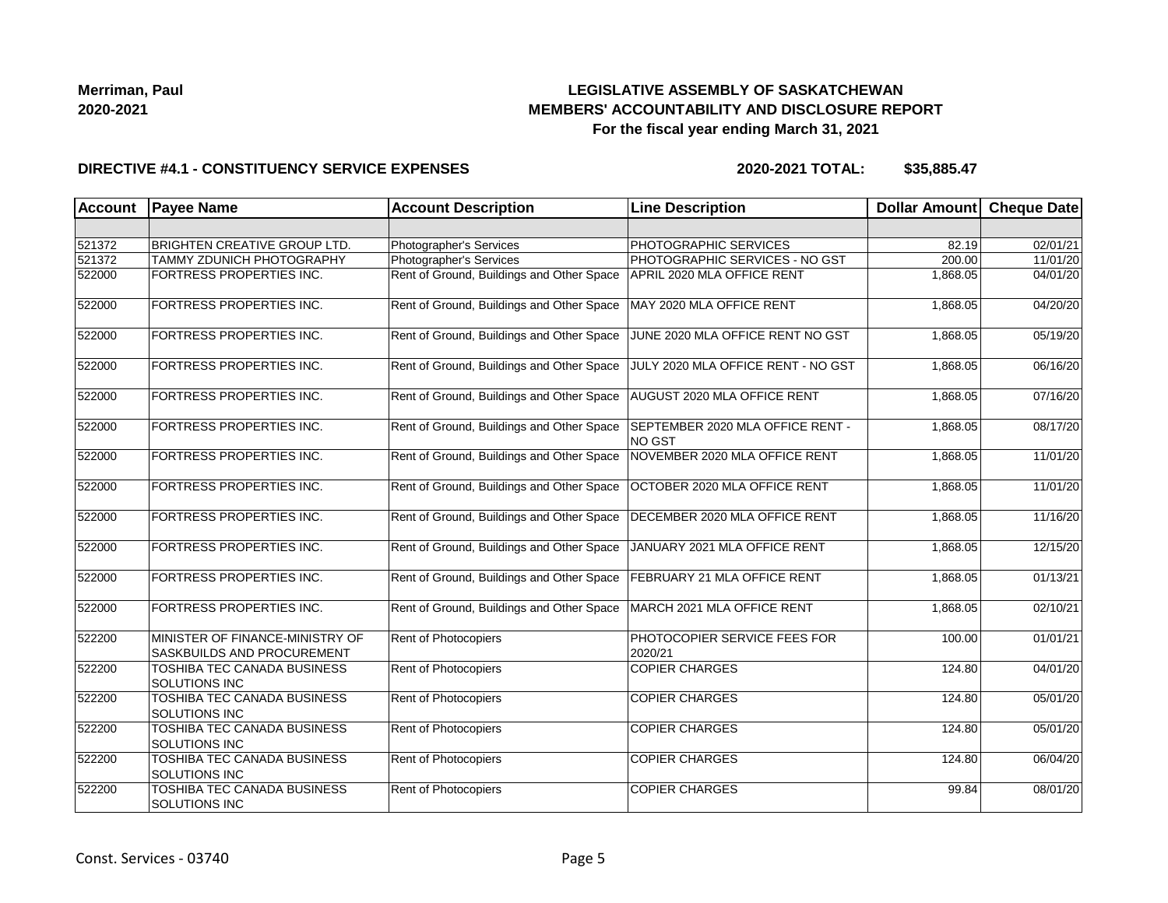# **LEGISLATIVE ASSEMBLY OF SASKATCHEWAN MEMBERS' ACCOUNTABILITY AND DISCLOSURE REPORT For the fiscal year ending March 31, 2021**

### **DIRECTIVE #4.1 - CONSTITUENCY SERVICE EXPENSES**

**2020-2021 TOTAL: \$35,885.47**

| <b>Account</b> | <b>Payee Name</b>                                                    | <b>Account Description</b>                | <b>Line Description</b>                           | <b>Dollar Amount</b> | <b>Cheque Date</b>    |
|----------------|----------------------------------------------------------------------|-------------------------------------------|---------------------------------------------------|----------------------|-----------------------|
|                |                                                                      |                                           |                                                   |                      |                       |
| 521372         | <b>BRIGHTEN CREATIVE GROUP LTD.</b>                                  | Photographer's Services                   | PHOTOGRAPHIC SERVICES                             | 82.19                | 02/01/21              |
| 521372         | <b>TAMMY ZDUNICH PHOTOGRAPHY</b>                                     | Photographer's Services                   | PHOTOGRAPHIC SERVICES - NO GST                    | 200.00               | 11/01/20              |
| 522000         | FORTRESS PROPERTIES INC.                                             | Rent of Ground, Buildings and Other Space | APRIL 2020 MLA OFFICE RENT                        | 1,868.05             | 04/01/20              |
| 522000         | FORTRESS PROPERTIES INC.                                             | Rent of Ground, Buildings and Other Space | MAY 2020 MLA OFFICE RENT                          | 1,868.05             | $\overline{04/20/20}$ |
| 522000         | <b>FORTRESS PROPERTIES INC.</b>                                      | Rent of Ground, Buildings and Other Space | JUNE 2020 MLA OFFICE RENT NO GST                  | 1,868.05             | 05/19/20              |
| 522000         | FORTRESS PROPERTIES INC.                                             | Rent of Ground, Buildings and Other Space | JULY 2020 MLA OFFICE RENT - NO GST                | 1,868.05             | 06/16/20              |
| 522000         | FORTRESS PROPERTIES INC.                                             | Rent of Ground, Buildings and Other Space | AUGUST 2020 MLA OFFICE RENT                       | 1,868.05             | 07/16/20              |
| 522000         | FORTRESS PROPERTIES INC.                                             | Rent of Ground, Buildings and Other Space | SEPTEMBER 2020 MLA OFFICE RENT -<br><b>NO GST</b> | 1,868.05             | 08/17/20              |
| 522000         | FORTRESS PROPERTIES INC.                                             | Rent of Ground, Buildings and Other Space | NOVEMBER 2020 MLA OFFICE RENT                     | 1,868.05             | 11/01/20              |
| 522000         | FORTRESS PROPERTIES INC.                                             | Rent of Ground, Buildings and Other Space | OCTOBER 2020 MLA OFFICE RENT                      | 1,868.05             | 11/01/20              |
| 522000         | FORTRESS PROPERTIES INC.                                             | Rent of Ground, Buildings and Other Space | DECEMBER 2020 MLA OFFICE RENT                     | 1,868.05             | 11/16/20              |
| 522000         | FORTRESS PROPERTIES INC.                                             | Rent of Ground, Buildings and Other Space | JANUARY 2021 MLA OFFICE RENT                      | 1,868.05             | 12/15/20              |
| 522000         | FORTRESS PROPERTIES INC.                                             | Rent of Ground, Buildings and Other Space | FEBRUARY 21 MLA OFFICE RENT                       | 1,868.05             | 01/13/21              |
| 522000         | <b>FORTRESS PROPERTIES INC.</b>                                      | Rent of Ground, Buildings and Other Space | MARCH 2021 MLA OFFICE RENT                        | 1,868.05             | 02/10/21              |
| 522200         | MINISTER OF FINANCE-MINISTRY OF<br><b>SASKBUILDS AND PROCUREMENT</b> | Rent of Photocopiers                      | PHOTOCOPIER SERVICE FEES FOR<br>2020/21           | 100.00               | 01/01/21              |
| 522200         | TOSHIBA TEC CANADA BUSINESS<br>SOLUTIONS INC                         | Rent of Photocopiers                      | <b>COPIER CHARGES</b>                             | 124.80               | 04/01/20              |
| 522200         | TOSHIBA TEC CANADA BUSINESS<br><b>SOLUTIONS INC</b>                  | Rent of Photocopiers                      | <b>COPIER CHARGES</b>                             | 124.80               | 05/01/20              |
| 522200         | <b>TOSHIBA TEC CANADA BUSINESS</b><br><b>SOLUTIONS INC</b>           | Rent of Photocopiers                      | <b>COPIER CHARGES</b>                             | 124.80               | 05/01/20              |
| 522200         | TOSHIBA TEC CANADA BUSINESS<br>SOLUTIONS INC                         | Rent of Photocopiers                      | <b>COPIER CHARGES</b>                             | 124.80               | 06/04/20              |
| 522200         | TOSHIBA TEC CANADA BUSINESS<br><b>SOLUTIONS INC</b>                  | Rent of Photocopiers                      | <b>COPIER CHARGES</b>                             | 99.84                | 08/01/20              |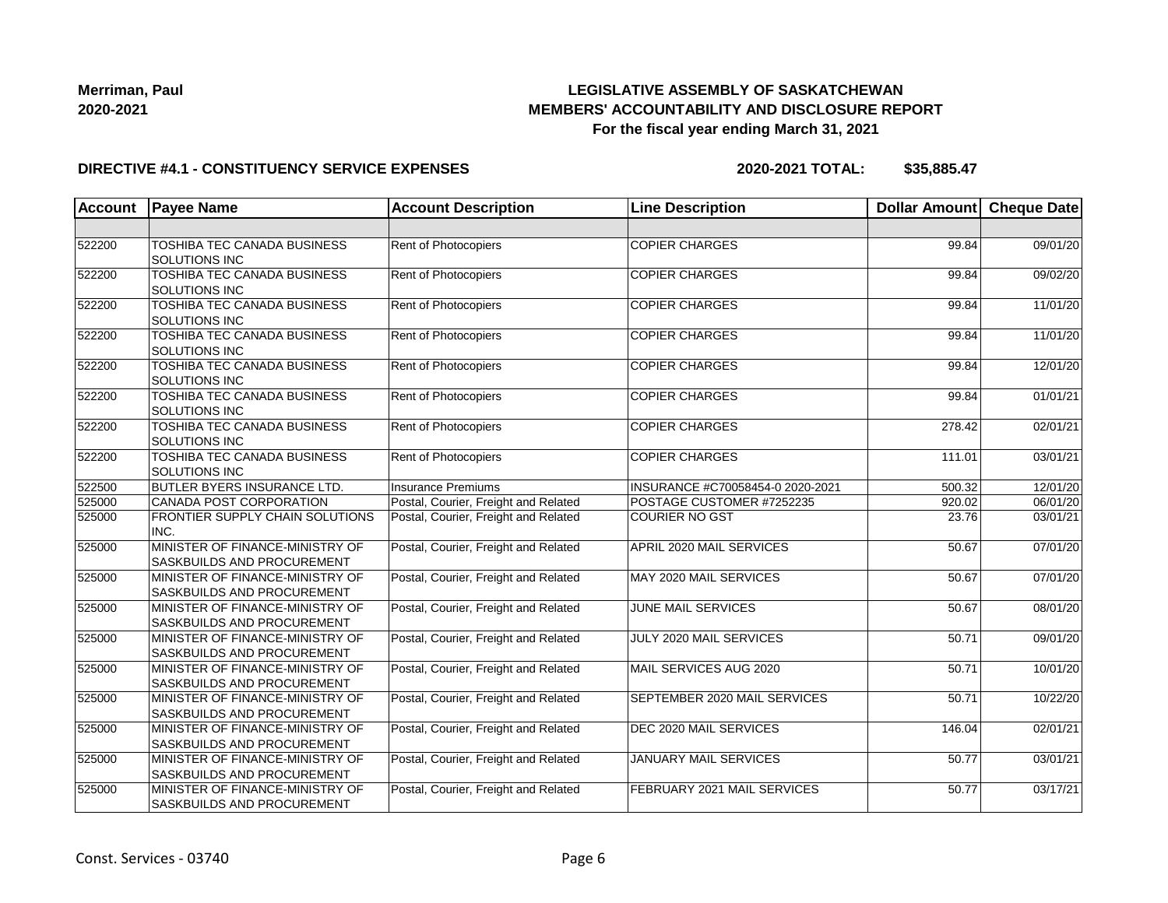# **LEGISLATIVE ASSEMBLY OF SASKATCHEWAN MEMBERS' ACCOUNTABILITY AND DISCLOSURE REPORT For the fiscal year ending March 31, 2021**

### **DIRECTIVE #4.1 - CONSTITUENCY SERVICE EXPENSES**

**2020-2021 TOTAL: \$35,885.47**

| <b>Account</b> | <b>Payee Name</b>                                                    | <b>Account Description</b>           | <b>Line Description</b>          | <b>Dollar Amount</b> | <b>Cheque Date</b> |
|----------------|----------------------------------------------------------------------|--------------------------------------|----------------------------------|----------------------|--------------------|
|                |                                                                      |                                      |                                  |                      |                    |
| 522200         | TOSHIBA TEC CANADA BUSINESS<br><b>SOLUTIONS INC</b>                  | <b>Rent of Photocopiers</b>          | <b>COPIER CHARGES</b>            | 99.84                | 09/01/20           |
| 522200         | TOSHIBA TEC CANADA BUSINESS<br><b>SOLUTIONS INC</b>                  | Rent of Photocopiers                 | <b>COPIER CHARGES</b>            | 99.84                | 09/02/20           |
| 522200         | <b>TOSHIBA TEC CANADA BUSINESS</b><br>SOLUTIONS INC                  | <b>Rent of Photocopiers</b>          | <b>COPIER CHARGES</b>            | 99.84                | 11/01/20           |
| 522200         | TOSHIBA TEC CANADA BUSINESS<br>SOLUTIONS INC                         | <b>Rent of Photocopiers</b>          | <b>COPIER CHARGES</b>            | 99.84                | 11/01/20           |
| 522200         | TOSHIBA TEC CANADA BUSINESS<br><b>SOLUTIONS INC</b>                  | Rent of Photocopiers                 | <b>COPIER CHARGES</b>            | 99.84                | 12/01/20           |
| 522200         | TOSHIBA TEC CANADA BUSINESS<br>SOLUTIONS INC                         | Rent of Photocopiers                 | <b>COPIER CHARGES</b>            | 99.84                | 01/01/21           |
| 522200         | TOSHIBA TEC CANADA BUSINESS<br>SOLUTIONS INC                         | Rent of Photocopiers                 | <b>COPIER CHARGES</b>            | 278.42               | 02/01/21           |
| 522200         | TOSHIBA TEC CANADA BUSINESS<br><b>SOLUTIONS INC</b>                  | Rent of Photocopiers                 | <b>COPIER CHARGES</b>            | 111.01               | 03/01/21           |
| 522500         | <b>BUTLER BYERS INSURANCE LTD.</b>                                   | <b>Insurance Premiums</b>            | INSURANCE #C70058454-0 2020-2021 | 500.32               | 12/01/20           |
| 525000         | CANADA POST CORPORATION                                              | Postal, Courier, Freight and Related | POSTAGE CUSTOMER #7252235        | 920.02               | 06/01/20           |
| 525000         | FRONTIER SUPPLY CHAIN SOLUTIONS<br>INC.                              | Postal, Courier, Freight and Related | COURIER NO GST                   | 23.76                | 03/01/21           |
| 525000         | MINISTER OF FINANCE-MINISTRY OF<br>SASKBUILDS AND PROCUREMENT        | Postal, Courier, Freight and Related | APRIL 2020 MAIL SERVICES         | 50.67                | 07/01/20           |
| 525000         | MINISTER OF FINANCE-MINISTRY OF<br><b>SASKBUILDS AND PROCUREMENT</b> | Postal, Courier, Freight and Related | MAY 2020 MAIL SERVICES           | 50.67                | 07/01/20           |
| 525000         | MINISTER OF FINANCE-MINISTRY OF<br>SASKBUILDS AND PROCUREMENT        | Postal, Courier, Freight and Related | JUNE MAIL SERVICES               | 50.67                | 08/01/20           |
| 525000         | MINISTER OF FINANCE-MINISTRY OF<br>SASKBUILDS AND PROCUREMENT        | Postal, Courier, Freight and Related | JULY 2020 MAIL SERVICES          | 50.71                | 09/01/20           |
| 525000         | MINISTER OF FINANCE-MINISTRY OF<br>SASKBUILDS AND PROCUREMENT        | Postal, Courier, Freight and Related | MAIL SERVICES AUG 2020           | 50.71                | 10/01/20           |
| 525000         | MINISTER OF FINANCE-MINISTRY OF<br>SASKBUILDS AND PROCUREMENT        | Postal, Courier, Freight and Related | SEPTEMBER 2020 MAIL SERVICES     | 50.71                | 10/22/20           |
| 525000         | MINISTER OF FINANCE-MINISTRY OF<br><b>SASKBUILDS AND PROCUREMENT</b> | Postal, Courier, Freight and Related | DEC 2020 MAIL SERVICES           | 146.04               | 02/01/21           |
| 525000         | MINISTER OF FINANCE-MINISTRY OF<br>SASKBUILDS AND PROCUREMENT        | Postal, Courier, Freight and Related | JANUARY MAIL SERVICES            | 50.77                | 03/01/21           |
| 525000         | MINISTER OF FINANCE-MINISTRY OF<br>SASKBUILDS AND PROCUREMENT        | Postal, Courier, Freight and Related | FEBRUARY 2021 MAIL SERVICES      | 50.77                | 03/17/21           |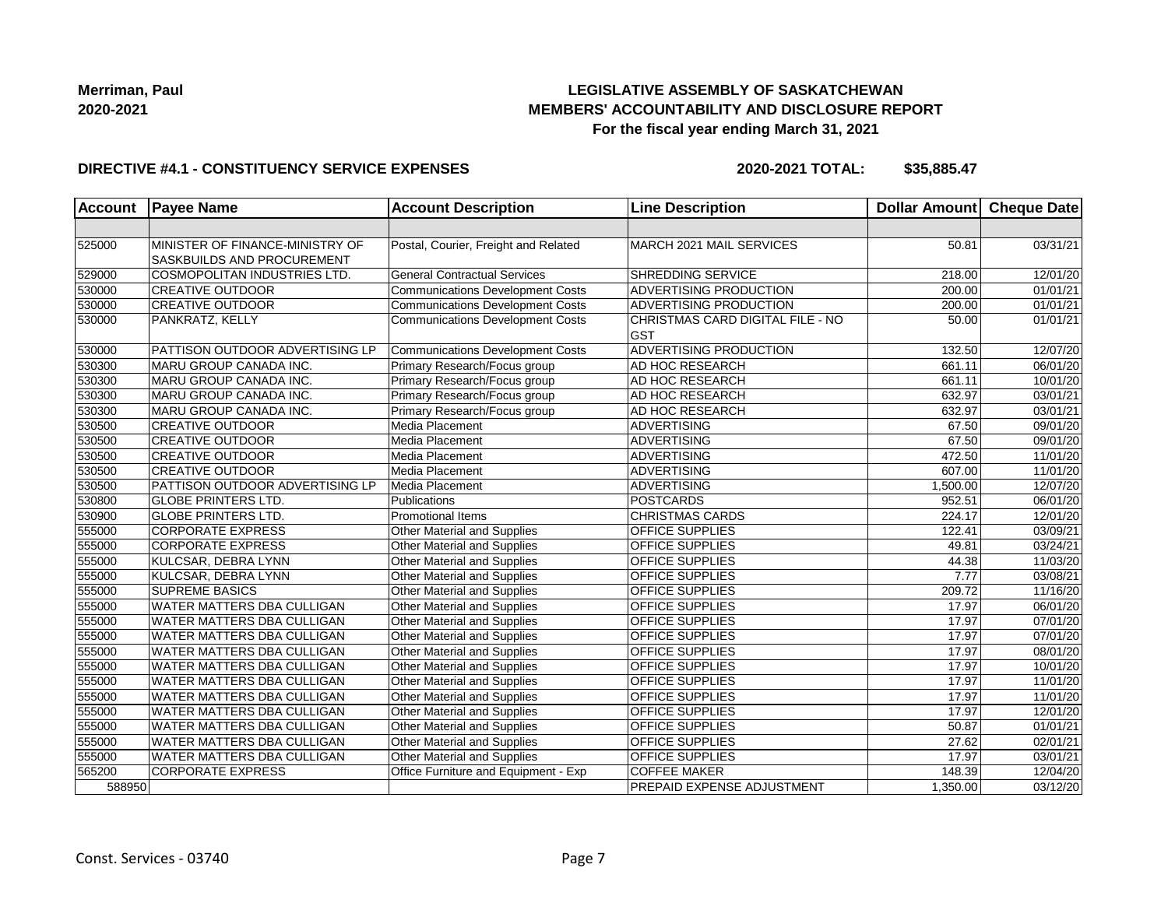# **LEGISLATIVE ASSEMBLY OF SASKATCHEWAN MEMBERS' ACCOUNTABILITY AND DISCLOSURE REPORT For the fiscal year ending March 31, 2021**

### **DIRECTIVE #4.1 - CONSTITUENCY SERVICE EXPENSES**

**2020-2021 TOTAL: \$35,885.47**

| <b>Account</b> | <b>Payee Name</b>                                             | <b>Account Description</b>              | <b>Line Description</b>                        | Dollar Amount | <b>Cheque Date</b> |
|----------------|---------------------------------------------------------------|-----------------------------------------|------------------------------------------------|---------------|--------------------|
|                |                                                               |                                         |                                                |               |                    |
| 525000         | MINISTER OF FINANCE-MINISTRY OF<br>SASKBUILDS AND PROCUREMENT | Postal, Courier, Freight and Related    | MARCH 2021 MAIL SERVICES                       | 50.81         | 03/31/21           |
| 529000         | COSMOPOLITAN INDUSTRIES LTD.                                  | <b>General Contractual Services</b>     | SHREDDING SERVICE                              | 218.00        | 12/01/20           |
| 530000         | <b>CREATIVE OUTDOOR</b>                                       | <b>Communications Development Costs</b> | ADVERTISING PRODUCTION                         | 200.00        | 01/01/21           |
| 530000         | <b>CREATIVE OUTDOOR</b>                                       | <b>Communications Development Costs</b> | ADVERTISING PRODUCTION                         | 200.00        | 01/01/21           |
| 530000         | PANKRATZ, KELLY                                               | <b>Communications Development Costs</b> | CHRISTMAS CARD DIGITAL FILE - NO<br><b>GST</b> | 50.00         | 01/01/21           |
| 530000         | PATTISON OUTDOOR ADVERTISING LP                               | <b>Communications Development Costs</b> | <b>ADVERTISING PRODUCTION</b>                  | 132.50        | 12/07/20           |
| 530300         | <b>MARU GROUP CANADA INC.</b>                                 | Primary Research/Focus group            | AD HOC RESEARCH                                | 661.11        | 06/01/20           |
| 530300         | MARU GROUP CANADA INC.                                        | Primary Research/Focus group            | AD HOC RESEARCH                                | 661.11        | 10/01/20           |
| 530300         | MARU GROUP CANADA INC.                                        | Primary Research/Focus group            | AD HOC RESEARCH                                | 632.97        | 03/01/21           |
| 530300         | MARU GROUP CANADA INC.                                        | Primary Research/Focus group            | AD HOC RESEARCH                                | 632.97        | 03/01/21           |
| 530500         | <b>CREATIVE OUTDOOR</b>                                       | Media Placement                         | <b>ADVERTISING</b>                             | 67.50         | 09/01/20           |
| 530500         | <b>CREATIVE OUTDOOR</b>                                       | Media Placement                         | <b>ADVERTISING</b>                             | 67.50         | 09/01/20           |
| 530500         | <b>CREATIVE OUTDOOR</b>                                       | Media Placement                         | <b>ADVERTISING</b>                             | 472.50        | 11/01/20           |
| 530500         | <b>CREATIVE OUTDOOR</b>                                       | Media Placement                         | <b>ADVERTISING</b>                             | 607.00        | 11/01/20           |
| 530500         | PATTISON OUTDOOR ADVERTISING LP                               | Media Placement                         | <b>ADVERTISING</b>                             | 1,500.00      | 12/07/20           |
| 530800         | <b>GLOBE PRINTERS LTD.</b>                                    | Publications                            | <b>POSTCARDS</b>                               | 952.51        | 06/01/20           |
| 530900         | <b>GLOBE PRINTERS LTD.</b>                                    | <b>Promotional Items</b>                | <b>CHRISTMAS CARDS</b>                         | 224.17        | 12/01/20           |
| 555000         | <b>CORPORATE EXPRESS</b>                                      | Other Material and Supplies             | OFFICE SUPPLIES                                | 122.41        | 03/09/21           |
| 555000         | <b>CORPORATE EXPRESS</b>                                      | <b>Other Material and Supplies</b>      | <b>OFFICE SUPPLIES</b>                         | 49.81         | 03/24/21           |
| 555000         | KULCSAR, DEBRA LYNN                                           | Other Material and Supplies             | <b>OFFICE SUPPLIES</b>                         | 44.38         | 11/03/20           |
| 555000         | KULCSAR, DEBRA LYNN                                           | Other Material and Supplies             | <b>OFFICE SUPPLIES</b>                         | 7.77          | 03/08/21           |
| 555000         | <b>SUPREME BASICS</b>                                         | Other Material and Supplies             | OFFICE SUPPLIES                                | 209.72        | 11/16/20           |
| 555000         | WATER MATTERS DBA CULLIGAN                                    | Other Material and Supplies             | OFFICE SUPPLIES                                | 17.97         | 06/01/20           |
| 555000         | WATER MATTERS DBA CULLIGAN                                    | Other Material and Supplies             | OFFICE SUPPLIES                                | 17.97         | 07/01/20           |
| 555000         | WATER MATTERS DBA CULLIGAN                                    | Other Material and Supplies             | OFFICE SUPPLIES                                | 17.97         | 07/01/20           |
| 555000         | WATER MATTERS DBA CULLIGAN                                    | Other Material and Supplies             | OFFICE SUPPLIES                                | 17.97         | 08/01/20           |
| 555000         | WATER MATTERS DBA CULLIGAN                                    | Other Material and Supplies             | <b>OFFICE SUPPLIES</b>                         | 17.97         | 10/01/20           |
| 555000         | WATER MATTERS DBA CULLIGAN                                    | Other Material and Supplies             | OFFICE SUPPLIES                                | 17.97         | 11/01/20           |
| 555000         | WATER MATTERS DBA CULLIGAN                                    | Other Material and Supplies             | <b>OFFICE SUPPLIES</b>                         | 17.97         | 11/01/20           |
| 555000         | <b>WATER MATTERS DBA CULLIGAN</b>                             | Other Material and Supplies             | <b>OFFICE SUPPLIES</b>                         | 17.97         | 12/01/20           |
| 555000         | WATER MATTERS DBA CULLIGAN                                    | Other Material and Supplies             | OFFICE SUPPLIES                                | 50.87         | 01/01/21           |
| 555000         | WATER MATTERS DBA CULLIGAN                                    | Other Material and Supplies             | OFFICE SUPPLIES                                | 27.62         | 02/01/21           |
| 555000         | WATER MATTERS DBA CULLIGAN                                    | Other Material and Supplies             | OFFICE SUPPLIES                                | 17.97         | 03/01/21           |
| 565200         | <b>CORPORATE EXPRESS</b>                                      | Office Furniture and Equipment - Exp    | <b>COFFEE MAKER</b>                            | 148.39        | 12/04/20           |
| 588950         |                                                               |                                         | <b>PREPAID EXPENSE ADJUSTMENT</b>              | 1,350.00      | 03/12/20           |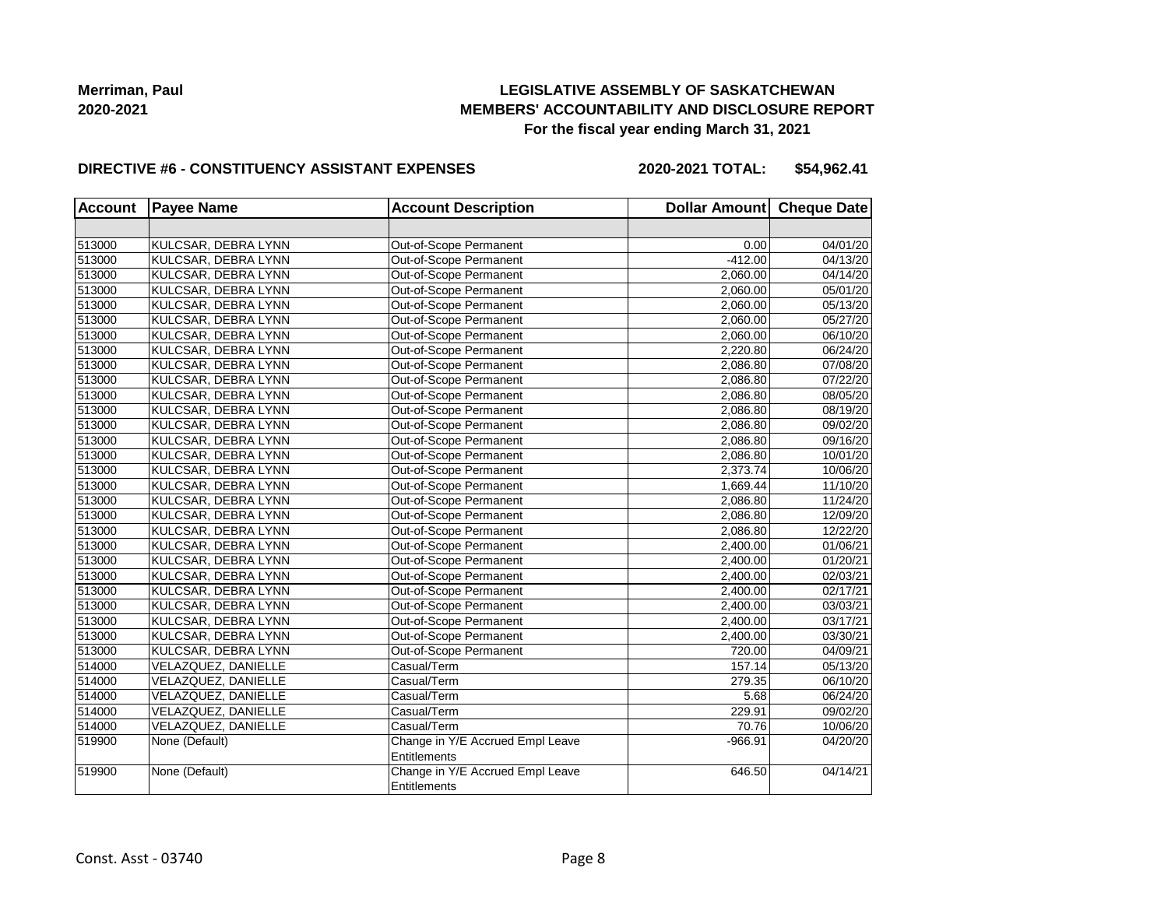# **LEGISLATIVE ASSEMBLY OF SASKATCHEWAN MEMBERS' ACCOUNTABILITY AND DISCLOSURE REPORT For the fiscal year ending March 31, 2021**

### **DIRECTIVE #6 - CONSTITUENCY ASSISTANT EXPENSES**

**2020-2021 TOTAL: \$54,962.41**

| <b>Account</b> | <b>Payee Name</b>   | <b>Account Description</b>       | Dollar Amount Cheque Date |          |
|----------------|---------------------|----------------------------------|---------------------------|----------|
|                |                     |                                  |                           |          |
| 513000         | KULCSAR, DEBRA LYNN | Out-of-Scope Permanent           | 0.00                      | 04/01/20 |
| 513000         | KULCSAR, DEBRA LYNN | Out-of-Scope Permanent           | $-412.00$                 | 04/13/20 |
| 513000         | KULCSAR, DEBRA LYNN | Out-of-Scope Permanent           | 2,060.00                  | 04/14/20 |
| 513000         | KULCSAR, DEBRA LYNN | Out-of-Scope Permanent           | 2,060.00                  | 05/01/20 |
| 513000         | KULCSAR, DEBRA LYNN | Out-of-Scope Permanent           | 2,060.00                  | 05/13/20 |
| 513000         | KULCSAR, DEBRA LYNN | Out-of-Scope Permanent           | 2,060.00                  | 05/27/20 |
| 513000         | KULCSAR, DEBRA LYNN | Out-of-Scope Permanent           | 2,060.00                  | 06/10/20 |
| 513000         | KULCSAR, DEBRA LYNN | Out-of-Scope Permanent           | 2,220.80                  | 06/24/20 |
| 513000         | KULCSAR, DEBRA LYNN | Out-of-Scope Permanent           | 2,086.80                  | 07/08/20 |
| 513000         | KULCSAR, DEBRA LYNN | Out-of-Scope Permanent           | 2,086.80                  | 07/22/20 |
| 513000         | KULCSAR, DEBRA LYNN | Out-of-Scope Permanent           | 2,086.80                  | 08/05/20 |
| 513000         | KULCSAR, DEBRA LYNN | Out-of-Scope Permanent           | 2,086.80                  | 08/19/20 |
| 513000         | KULCSAR, DEBRA LYNN | Out-of-Scope Permanent           | 2.086.80                  | 09/02/20 |
| 513000         | KULCSAR, DEBRA LYNN | Out-of-Scope Permanent           | 2,086.80                  | 09/16/20 |
| 513000         | KULCSAR, DEBRA LYNN | Out-of-Scope Permanent           | 2.086.80                  | 10/01/20 |
| 513000         | KULCSAR, DEBRA LYNN | Out-of-Scope Permanent           | 2,373.74                  | 10/06/20 |
| 513000         | KULCSAR, DEBRA LYNN | Out-of-Scope Permanent           | 1,669.44                  | 11/10/20 |
| 513000         | KULCSAR, DEBRA LYNN | Out-of-Scope Permanent           | 2,086.80                  | 11/24/20 |
| 513000         | KULCSAR, DEBRA LYNN | Out-of-Scope Permanent           | 2,086.80                  | 12/09/20 |
| 513000         | KULCSAR, DEBRA LYNN | Out-of-Scope Permanent           | 2,086.80                  | 12/22/20 |
| 513000         | KULCSAR, DEBRA LYNN | Out-of-Scope Permanent           | 2,400.00                  | 01/06/21 |
| 513000         | KULCSAR, DEBRA LYNN | Out-of-Scope Permanent           | 2,400.00                  | 01/20/21 |
| 513000         | KULCSAR, DEBRA LYNN | Out-of-Scope Permanent           | 2,400.00                  | 02/03/21 |
| 513000         | KULCSAR, DEBRA LYNN | Out-of-Scope Permanent           | 2,400.00                  | 02/17/21 |
| 513000         | KULCSAR, DEBRA LYNN | Out-of-Scope Permanent           | 2.400.00                  | 03/03/21 |
| 513000         | KULCSAR, DEBRA LYNN | Out-of-Scope Permanent           | 2,400.00                  | 03/17/21 |
| 513000         | KULCSAR, DEBRA LYNN | Out-of-Scope Permanent           | 2,400.00                  | 03/30/21 |
| 513000         | KULCSAR, DEBRA LYNN | Out-of-Scope Permanent           | 720.00                    | 04/09/21 |
| 514000         | VELAZQUEZ, DANIELLE | Casual/Term                      | 157.14                    | 05/13/20 |
| 514000         | VELAZQUEZ, DANIELLE | Casual/Term                      | 279.35                    | 06/10/20 |
| 514000         | VELAZQUEZ, DANIELLE | Casual/Term                      | 5.68                      | 06/24/20 |
| 514000         | VELAZQUEZ, DANIELLE | Casual/Term                      | 229.91                    | 09/02/20 |
| 514000         | VELAZQUEZ, DANIELLE | Casual/Term                      | 70.76                     | 10/06/20 |
| 519900         | None (Default)      | Change in Y/E Accrued Empl Leave | $-966.91$                 | 04/20/20 |
|                |                     | <b>Entitlements</b>              |                           |          |
| 519900         | None (Default)      | Change in Y/E Accrued Empl Leave | 646.50                    | 04/14/21 |
|                |                     | Entitlements                     |                           |          |